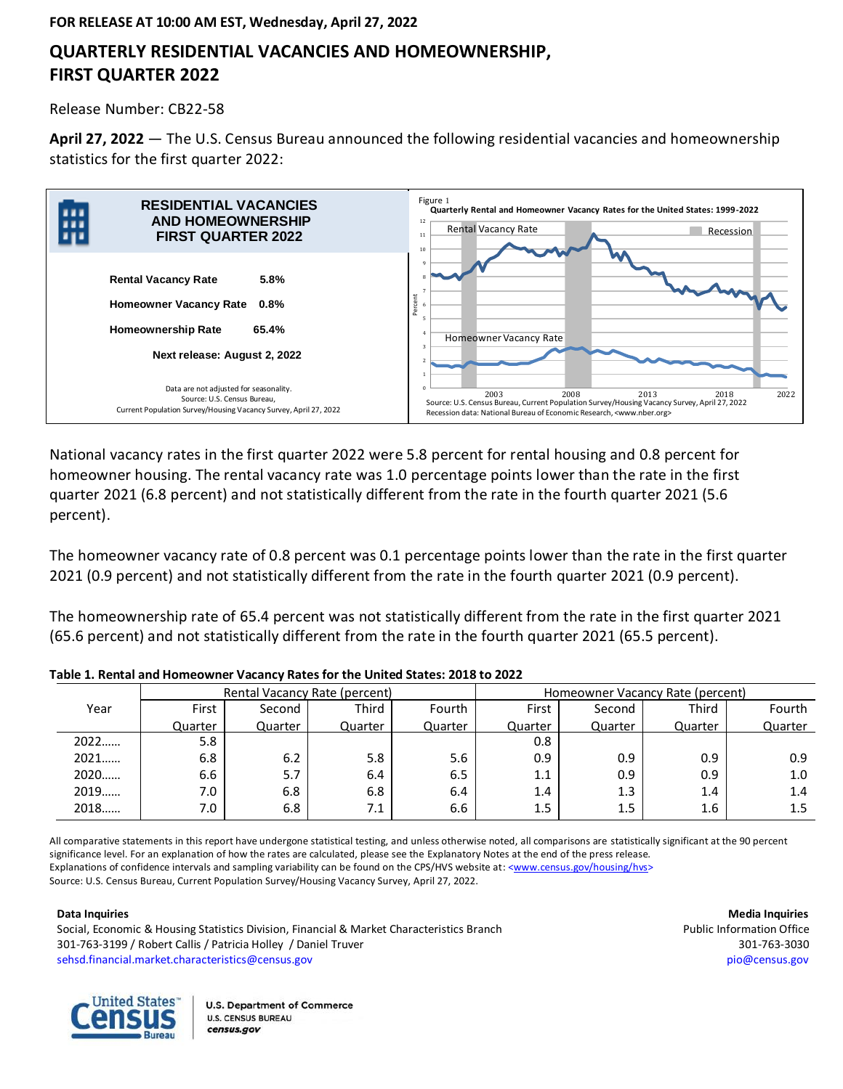# **QUARTERLY RESIDENTIAL VACANCIES AND HOMEOWNERSHIP, FIRST QUARTER 2022**

Release Number: CB22-58

**April 27, 2022** — The U.S. Census Bureau announced the following residential vacancies and homeownership statistics for the first quarter 2022:



National vacancy rates in the first quarter 2022 were 5.8 percent for rental housing and 0.8 percent for homeowner housing. The rental vacancy rate was 1.0 percentage points lower than the rate in the first quarter 2021 (6.8 percent) and not statistically different from the rate in the fourth quarter 2021 (5.6 percent).

The homeowner vacancy rate of 0.8 percent was 0.1 percentage points lower than the rate in the first quarter 2021 (0.9 percent) and not statistically different from the rate in the fourth quarter 2021 (0.9 percent).

The homeownership rate of 65.4 percent was not statistically different from the rate in the first quarter 2021 (65.6 percent) and not statistically different from the rate in the fourth quarter 2021 (65.5 percent).

|      |         | Rental Vacancy Rate (percent) |         |         | Homeowner Vacancy Rate (percent) |         |         |         |  |
|------|---------|-------------------------------|---------|---------|----------------------------------|---------|---------|---------|--|
| Year | First   | Second                        | Third   | Fourth  | First                            | Second  | Third   | Fourth  |  |
|      | Quarter | Quarter                       | Quarter | Quarter | Quarter                          | Quarter | Quarter | Quarter |  |
| 2022 | 5.8     |                               |         |         | 0.8                              |         |         |         |  |
| 2021 | 6.8     | 6.2                           | 5.8     | 5.6     | 0.9                              | 0.9     | 0.9     | 0.9     |  |
| 2020 | 6.6     | 5.7                           | 6.4     | 6.5     | 1.1                              | 0.9     | 0.9     | 1.0     |  |
| 2019 | 7.0     | 6.8                           | 6.8     | 6.4     | 1.4                              | 1.3     | 1.4     | 1.4     |  |
| 2018 | 7.0     | 6.8                           | 7.1     | 6.6     | 1.5                              | 1.5     | 1.6     | 1.5     |  |

**Table 1. Rental and Homeowner Vacancy Rates for the United States: 2018 to 2022**

All comparative statements in this report have undergone statistical testing, and unless otherwise noted, all comparisons are statistically significant at the 90 percent significance level. For an explanation of how the rates are calculated, please see the Explanatory Notes at the end of the press release. Explanations of confidence intervals and sampling variability can be found on the CPS/HVS website at: [<www.census.gov/housing/hvs>](http://www.census.gov/housing/hvs/index.html) Source: U.S. Census Bureau, Current Population Survey/Housing Vacancy Survey, April 27, 2022.

Social, Economic & Housing Statistics Division, Financial & Market Characteristics Branch Public Information Office 301-763-3199 / Robert Callis / Patricia Holley / Daniel Truver 301-763-3030 [sehsd.financial.market.characteristics@census.gov](mailto:sehsd.financial.market.characteristics@census.gov) [pio@census.gov](http://www.census.gov/manufacturing/m3)

**Data Inquiries Media Inquiries**

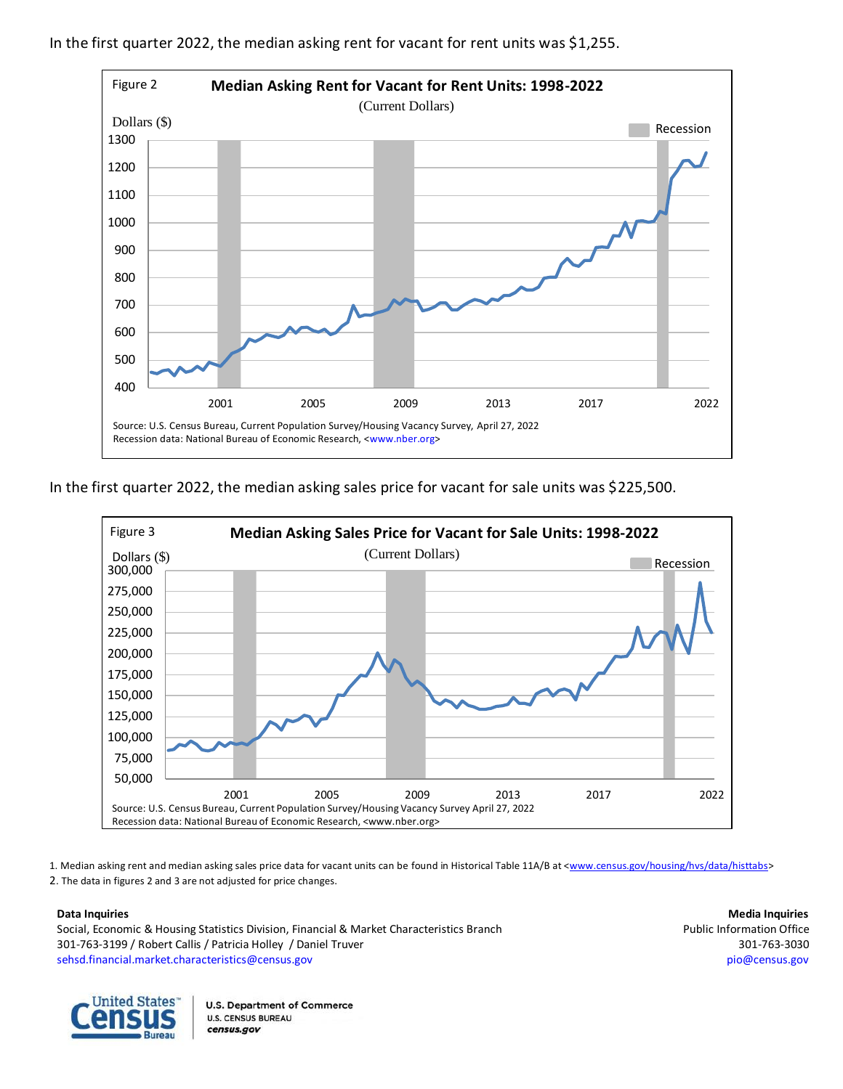

In the first quarter 2022, the median asking rent for vacant for rent units was \$1,255.

In the first quarter 2022, the median asking sales price for vacant for sale units was \$225,500.



1. Median asking rent and median asking sales price data for vacant units can be found in Historical Table 11A/B at [<www.census.gov/housing/hvs/data/histtabs>](https://www.census.gov/housing/hvs/data/histtabs.html) 2. The data in figures 2 and 3 are not adjusted for price changes.

Social, Economic & Housing Statistics Division, Financial & Market Characteristics Branch Public Information Office 301-763-3199 / Robert Callis / Patricia Holley / Daniel Truver 301-763-3030 [sehsd.financial.market.characteristics@census.gov](mailto:sehsd.financial.market.characteristics@census.gov) [pio@census.gov](http://www.census.gov/manufacturing/m3)

**Data Inquiries Media Inquiries**

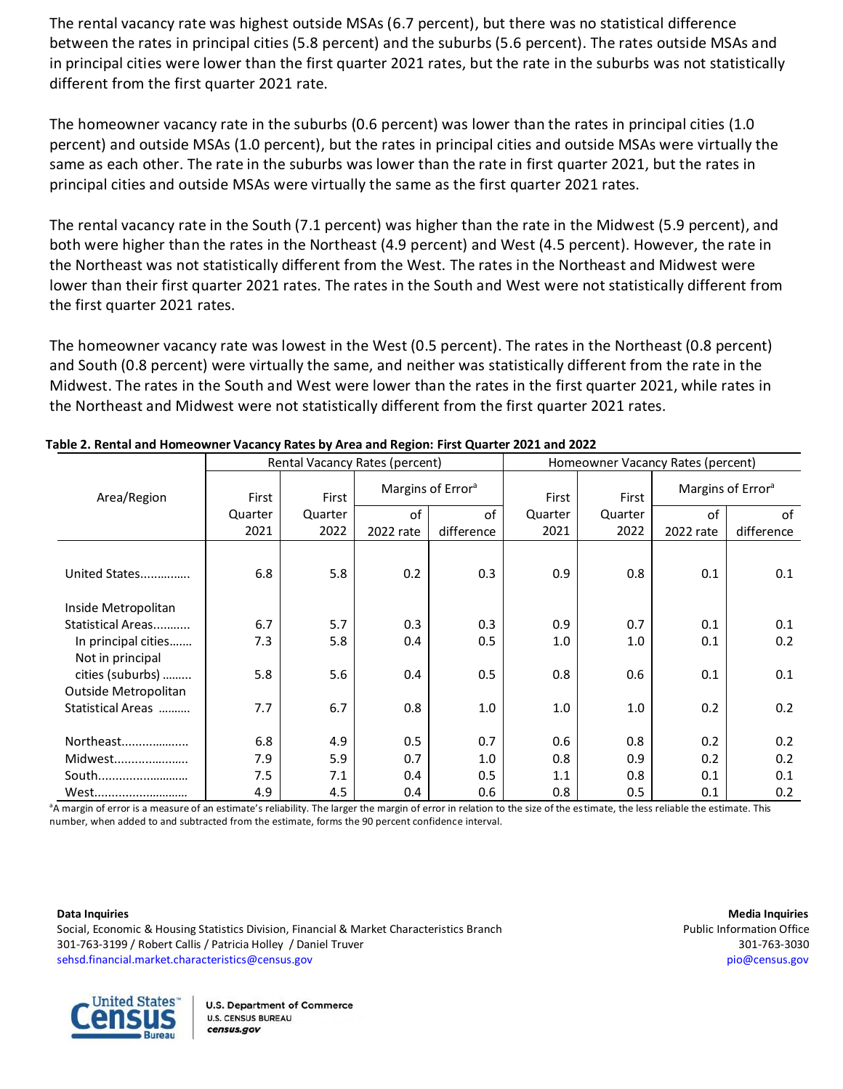The rental vacancy rate was highest outside MSAs (6.7 percent), but there was no statistical difference between the rates in principal cities (5.8 percent) and the suburbs (5.6 percent). The rates outside MSAs and in principal cities were lower than the first quarter 2021 rates, but the rate in the suburbs was not statistically different from the first quarter 2021 rate.

The homeowner vacancy rate in the suburbs (0.6 percent) was lower than the rates in principal cities (1.0 percent) and outside MSAs (1.0 percent), but the rates in principal cities and outside MSAs were virtually the same as each other. The rate in the suburbs was lower than the rate in first quarter 2021, but the rates in principal cities and outside MSAs were virtually the same as the first quarter 2021 rates.

The rental vacancy rate in the South (7.1 percent) was higher than the rate in the Midwest (5.9 percent), and both were higher than the rates in the Northeast (4.9 percent) and West (4.5 percent). However, the rate in the Northeast was not statistically different from the West. The rates in the Northeast and Midwest were lower than their first quarter 2021 rates. The rates in the South and West were not statistically different from the first quarter 2021 rates.

The homeowner vacancy rate was lowest in the West (0.5 percent). The rates in the Northeast (0.8 percent) and South (0.8 percent) were virtually the same, and neither was statistically different from the rate in the Midwest. The rates in the South and West were lower than the rates in the first quarter 2021, while rates in the Northeast and Midwest were not statistically different from the first quarter 2021 rates.

|                      |                |         | Rental Vacancy Rates (percent) |                               | Homeowner Vacancy Rates (percent) |         |                               |            |  |
|----------------------|----------------|---------|--------------------------------|-------------------------------|-----------------------------------|---------|-------------------------------|------------|--|
| Area/Region          | First<br>First |         |                                | Margins of Error <sup>a</sup> | First                             | First   | Margins of Error <sup>a</sup> |            |  |
|                      | Quarter        | Quarter | of                             | οf                            | Quarter                           | Quarter | of                            | οf         |  |
|                      | 2021           | 2022    | 2022 rate                      | difference                    | 2021                              | 2022    | 2022 rate                     | difference |  |
|                      |                |         |                                |                               |                                   |         |                               |            |  |
| United States        | 6.8            | 5.8     | 0.2                            | 0.3                           | 0.9                               | 0.8     | 0.1                           | 0.1        |  |
| Inside Metropolitan  |                |         |                                |                               |                                   |         |                               |            |  |
| Statistical Areas    | 6.7            | 5.7     | 0.3                            | 0.3                           | 0.9                               | 0.7     | 0.1                           | 0.1        |  |
| In principal cities  | 7.3            | 5.8     | 0.4                            | 0.5                           | 1.0                               | 1.0     | 0.1                           | 0.2        |  |
| Not in principal     |                |         |                                |                               |                                   |         |                               |            |  |
| cities (suburbs)     | 5.8            | 5.6     | 0.4                            | 0.5                           | 0.8                               | 0.6     | 0.1                           | 0.1        |  |
| Outside Metropolitan |                |         |                                |                               |                                   |         |                               |            |  |
| Statistical Areas    | 7.7            | 6.7     | 0.8                            | 1.0                           | 1.0                               | 1.0     | 0.2                           | 0.2        |  |
| Northeast            | 6.8            | 4.9     | 0.5                            | 0.7                           | 0.6                               | 0.8     | 0.2                           | 0.2        |  |
| Midwest              | 7.9            | 5.9     | 0.7                            | 1.0                           | 0.8                               | 0.9     | 0.2                           | 0.2        |  |
| South                | 7.5            | 7.1     | 0.4                            | 0.5                           | 1.1                               | 0.8     | 0.1                           | 0.1        |  |
| West                 | 4.9            | 4.5     | 0.4                            | 0.6                           | 0.8                               | 0.5     | 0.1                           | 0.2        |  |

### **Table 2. Rental and Homeowner Vacancy Rates by Area and Region: First Quarter 2021 and 2022**

<sup>a</sup>A margin of error is a measure of an estimate's reliability. The larger the margin of error in relation to the size of the estimate, the less reliable the estimate. This number, when added to and subtracted from the estimate, forms the 90 percent confidence interval.

Social, Economic & Housing Statistics Division, Financial & Market Characteristics Branch Public Information Office 301-763-3199 / Robert Callis / Patricia Holley / Daniel Truver 301-763-3030 [sehsd.financial.market.characteristics@census.gov](mailto:sehsd.financial.market.characteristics@census.gov) [pio@census.gov](http://www.census.gov/manufacturing/m3)



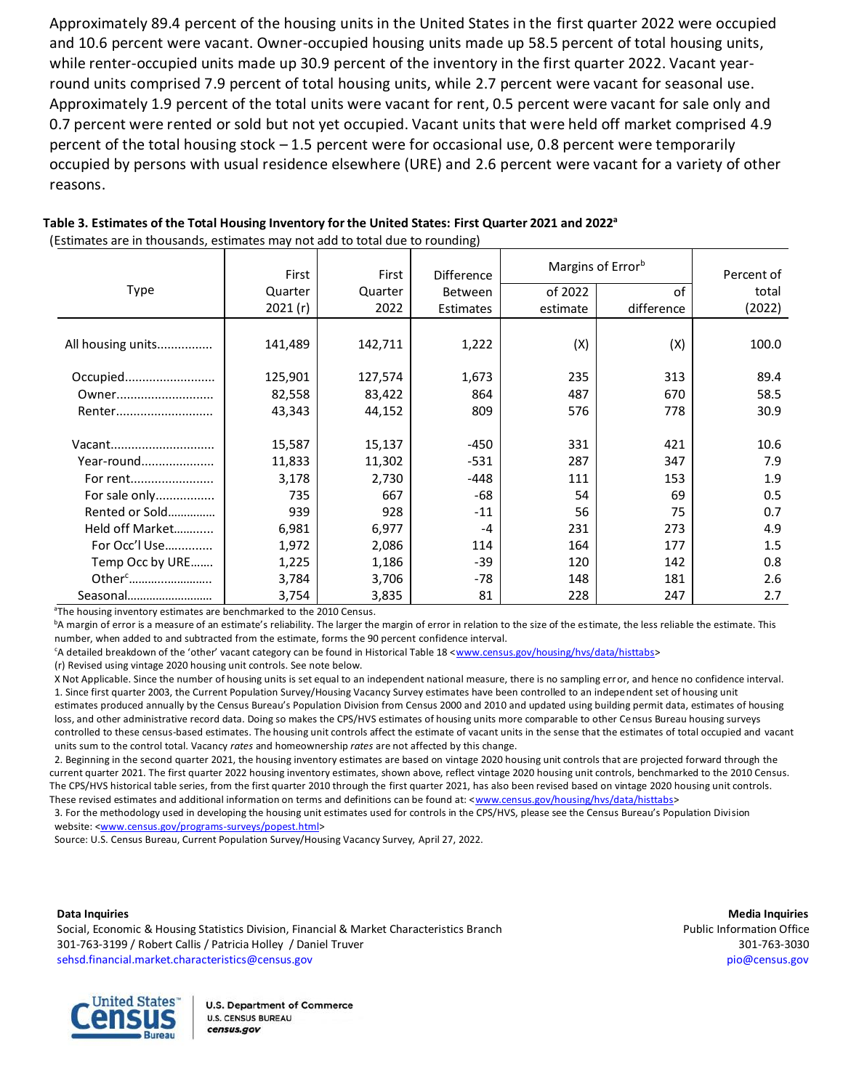Approximately 89.4 percent of the housing units in the United States in the first quarter 2022 were occupied and 10.6 percent were vacant. Owner-occupied housing units made up 58.5 percent of total housing units, while renter-occupied units made up 30.9 percent of the inventory in the first quarter 2022. Vacant yearround units comprised 7.9 percent of total housing units, while 2.7 percent were vacant for seasonal use. Approximately 1.9 percent of the total units were vacant for rent, 0.5 percent were vacant for sale only and 0.7 percent were rented or sold but not yet occupied. Vacant units that were held off market comprised 4.9 percent of the total housing stock – 1.5 percent were for occasional use, 0.8 percent were temporarily occupied by persons with usual residence elsewhere (URE) and 2.6 percent were vacant for a variety of other reasons.

|                    | First   | First   | Difference       | Margins of Error <sup>b</sup> | Percent of |        |
|--------------------|---------|---------|------------------|-------------------------------|------------|--------|
| <b>Type</b>        | Quarter | Quarter | Between          | of 2022                       | of         | total  |
|                    | 2021(r) | 2022    | <b>Estimates</b> | estimate                      | difference | (2022) |
|                    |         |         |                  |                               |            |        |
| All housing units  | 141,489 | 142,711 | 1,222            | (X)                           | (X)        | 100.0  |
|                    |         |         |                  |                               |            |        |
| Occupied           | 125,901 | 127,574 | 1,673            | 235                           | 313        | 89.4   |
| Owner              | 82,558  | 83,422  | 864              | 487                           | 670        | 58.5   |
| Renter             | 43,343  | 44,152  | 809              | 576                           | 778        | 30.9   |
|                    |         |         |                  |                               |            |        |
| Vacant             | 15,587  | 15,137  | -450             | 331                           | 421        | 10.6   |
| Year-round         | 11,833  | 11,302  | $-531$           | 287                           | 347        | 7.9    |
| For rent           | 3,178   | 2,730   | -448             | 111                           | 153        | 1.9    |
| For sale only      | 735     | 667     | -68              | 54                            | 69         | 0.5    |
| Rented or Sold     | 939     | 928     | $-11$            | 56                            | 75         | 0.7    |
| Held off Market    | 6,981   | 6,977   | $-4$             | 231                           | 273        | 4.9    |
| For Occ'l Use      | 1,972   | 2,086   | 114              | 164                           | 177        | 1.5    |
| Temp Occ by URE    | 1,225   | 1,186   | $-39$            | 120                           | 142        | 0.8    |
| Other <sup>c</sup> | 3,784   | 3,706   | -78              | 148                           | 181        | 2.6    |
| Seasonal           | 3,754   | 3,835   | 81               | 228                           | 247        | 2.7    |

 **Table 3. Estimates of the Total Housing Inventory for the United States: First Quarter 2021 and 2022<sup>a</sup>** (Estimates are in thousands, estimates may not add to total due to rounding)

<sup>a</sup>The housing inventory estimates are benchmarked to the 2010 Census.

<sup>b</sup>A margin of error is a measure of an estimate's reliability. The larger the margin of error in relation to the size of the estimate, the less reliable the estimate. This number, when added to and subtracted from the estimate, forms the 90 percent confidence interval.

<sup>c</sup>A detailed breakdown of the 'other' vacant category can be found in Historical Table 18 <[www.census.gov/housing/hvs/data/histtabs>](https://www.census.gov/housing/hvs/data/histtabs.html)

(r) Revised using vintage 2020 housing unit controls. See note below.

 X Not Applicable. Since the number of housing units is set equal to an independent national measure, there is no sampling error, and hence no confidence interval. 1. Since first quarter 2003, the Current Population Survey/Housing Vacancy Survey estimates have been controlled to an independent set of housing unit estimates produced annually by the Census Bureau's Population Division from Census 2000 and 2010 and updated using building permit data, estimates of housing loss, and other administrative record data. Doing so makes the CPS/HVS estimates of housing units more comparable to other Census Bureau housing surveys controlled to these census-based estimates. The housing unit controls affect the estimate of vacant units in the sense that the estimates of total occupied and vacant units sum to the control total. Vacancy *rates* and homeownership *rates* are not affected by this change.

 2. Beginning in the second quarter 2021, the housing inventory estimates are based on vintage 2020 housing unit controls that are projected forward through the current quarter 2021. The first quarter 2022 housing inventory estimates, shown above, reflect vintage 2020 housing unit controls, benchmarked to the 2010 Census. The CPS/HVS historical table series, from the first quarter 2010 through the first quarter 2021, has also been revised based on vintage 2020 housing unit controls. These revised estimates and additional information on terms and definitions can be found at: [<www.census.gov/housing/hvs/data/histtabs>](https://www.census.gov/housing/hvs/data/histtabs.html)

 3. For the methodology used in developing the housing unit estimates used for controls in the CPS/HVS, please see the Census Bureau's Population Division website: [<www.census.gov/programs-surveys/popest.h](http://www.census.gov/programs-surveys/popest.html)tml>

Source: U.S. Census Bureau, Current Population Survey/Housing Vacancy Survey, April 27, 2022.

Social, Economic & Housing Statistics Division, Financial & Market Characteristics Branch Public Information Office 301-763-3199 / Robert Callis / Patricia Holley / Daniel Truver 301-763-3030 [sehsd.financial.market.characteristics@census.gov](mailto:sehsd.financial.market.characteristics@census.gov) [pio@census.gov](http://www.census.gov/manufacturing/m3)

**Data Inquiries Media Inquiries**

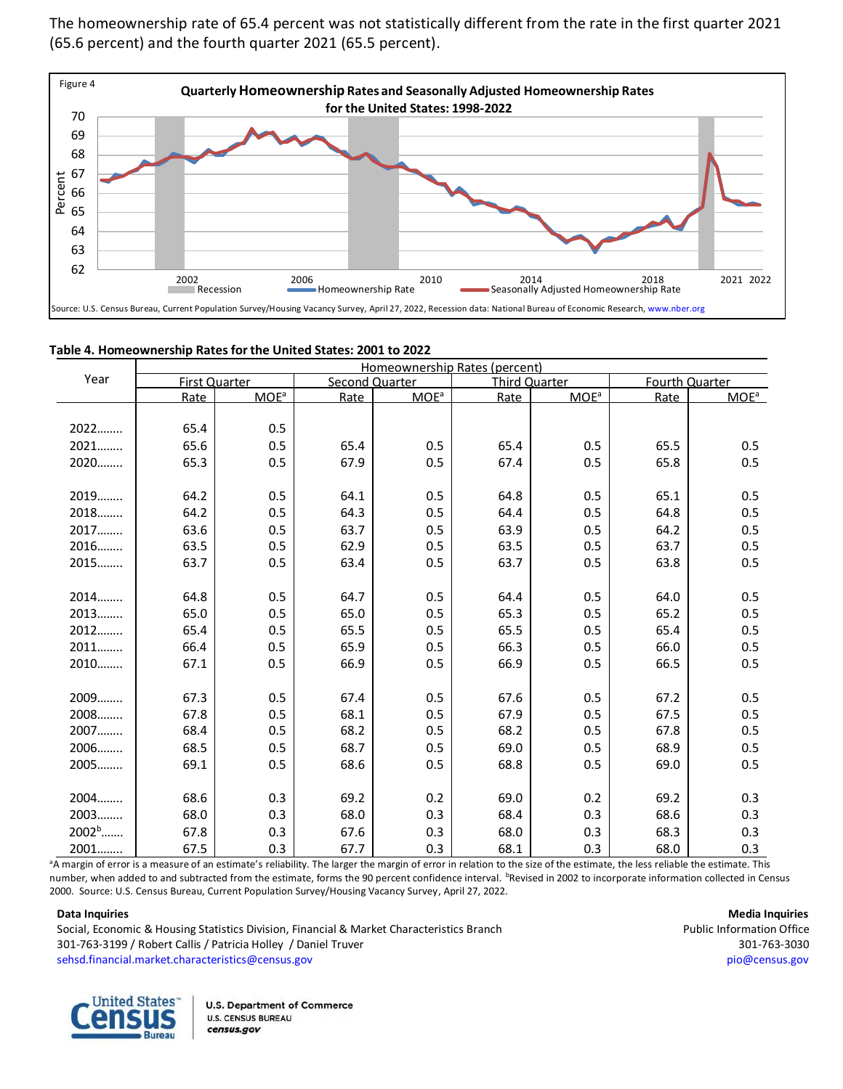The homeownership rate of 65.4 percent was not statistically different from the rate in the first quarter 2021 (65.6 percent) and the fourth quarter 2021 (65.5 percent).



|  | Table 4. Homeownership Rates for the United States: 2001 to 2022 |
|--|------------------------------------------------------------------|
|--|------------------------------------------------------------------|

|                   | Homeownership Rates (percent) |                  |                |         |                      |                  |      |                |  |  |
|-------------------|-------------------------------|------------------|----------------|---------|----------------------|------------------|------|----------------|--|--|
| Year              | <b>First Quarter</b>          |                  | Second Quarter |         | <b>Third Quarter</b> |                  |      | Fourth Quarter |  |  |
|                   | Rate                          | MOE <sup>a</sup> | Rate           | $MOE^a$ | Rate                 | MOE <sup>a</sup> | Rate | $MOE^a$        |  |  |
|                   |                               |                  |                |         |                      |                  |      |                |  |  |
| 2022              | 65.4                          | 0.5              |                |         |                      |                  |      |                |  |  |
| 2021              | 65.6                          | 0.5              | 65.4           | 0.5     | 65.4                 | 0.5              | 65.5 | 0.5            |  |  |
| 2020              | 65.3                          | 0.5              | 67.9           | 0.5     | 67.4                 | 0.5              | 65.8 | 0.5            |  |  |
|                   |                               |                  |                |         |                      |                  |      |                |  |  |
| $2019$            | 64.2                          | 0.5              | 64.1           | 0.5     | 64.8                 | 0.5              | 65.1 | 0.5            |  |  |
| 2018              | 64.2                          | 0.5              | 64.3           | 0.5     | 64.4                 | 0.5              | 64.8 | 0.5            |  |  |
| 2017              | 63.6                          | 0.5              | 63.7           | 0.5     | 63.9                 | 0.5              | 64.2 | 0.5            |  |  |
| 2016              | 63.5                          | 0.5              | 62.9           | 0.5     | 63.5                 | 0.5              | 63.7 | 0.5            |  |  |
| 2015              | 63.7                          | 0.5              | 63.4           | 0.5     | 63.7                 | 0.5              | 63.8 | 0.5            |  |  |
|                   |                               |                  |                |         |                      |                  |      |                |  |  |
| 2014              | 64.8                          | 0.5              | 64.7           | 0.5     | 64.4                 | 0.5              | 64.0 | 0.5            |  |  |
| 2013              | 65.0                          | 0.5              | 65.0           | 0.5     | 65.3                 | 0.5              | 65.2 | 0.5            |  |  |
| 2012              | 65.4                          | 0.5              | 65.5           | 0.5     | 65.5                 | 0.5              | 65.4 | 0.5            |  |  |
| 2011              | 66.4                          | 0.5              | 65.9           | 0.5     | 66.3                 | 0.5              | 66.0 | 0.5            |  |  |
| 2010              | 67.1                          | 0.5              | 66.9           | 0.5     | 66.9                 | 0.5              | 66.5 | 0.5            |  |  |
|                   |                               |                  |                |         |                      |                  |      |                |  |  |
| 2009              | 67.3                          | 0.5              | 67.4           | 0.5     | 67.6                 | 0.5              | 67.2 | 0.5            |  |  |
| 2008              | 67.8                          | 0.5              | 68.1           | 0.5     | 67.9                 | 0.5              | 67.5 | 0.5            |  |  |
| 2007              | 68.4                          | 0.5              | 68.2           | 0.5     | 68.2                 | 0.5              | 67.8 | 0.5            |  |  |
| 2006              | 68.5                          | 0.5              | 68.7           | 0.5     | 69.0                 | 0.5              | 68.9 | 0.5            |  |  |
| 2005              | 69.1                          | 0.5              | 68.6           | 0.5     | 68.8                 | 0.5              | 69.0 | 0.5            |  |  |
|                   |                               |                  |                |         |                      |                  |      |                |  |  |
| 2004              | 68.6                          | 0.3              | 69.2           | 0.2     | 69.0                 | 0.2              | 69.2 | 0.3            |  |  |
| 2003              | 68.0                          | 0.3              | 68.0           | 0.3     | 68.4                 | 0.3              | 68.6 | 0.3            |  |  |
| 2002 <sup>b</sup> | 67.8                          | 0.3              | 67.6           | 0.3     | 68.0                 | 0.3              | 68.3 | 0.3            |  |  |
| 2001              | 67.5                          | 0.3              | 67.7           | 0.3     | 68.1                 | 0.3              | 68.0 | 0.3            |  |  |

<sup>a</sup>A margin of error is a measure of an estimate's reliability. The larger the margin of error in relation to the size of the estimate, the less reliable the estimate. This number, when added to and subtracted from the estimate, forms the 90 percent confidence interval. <sup>b</sup>Revised in 2002 to incorporate information collected in Census 2000. Source: U.S. Census Bureau, Current Population Survey/Housing Vacancy Survey, April 27, 2022.

Social, Economic & Housing Statistics Division, Financial & Market Characteristics Branch Public Information Office 301-763-3199 / Robert Callis / Patricia Holley / Daniel Truver 301-763-3030 [sehsd.financial.market.characteristics@census.gov](mailto:sehsd.financial.market.characteristics@census.gov) [pio@census.gov](http://www.census.gov/manufacturing/m3)

**Data Inquiries Media Inquiries**

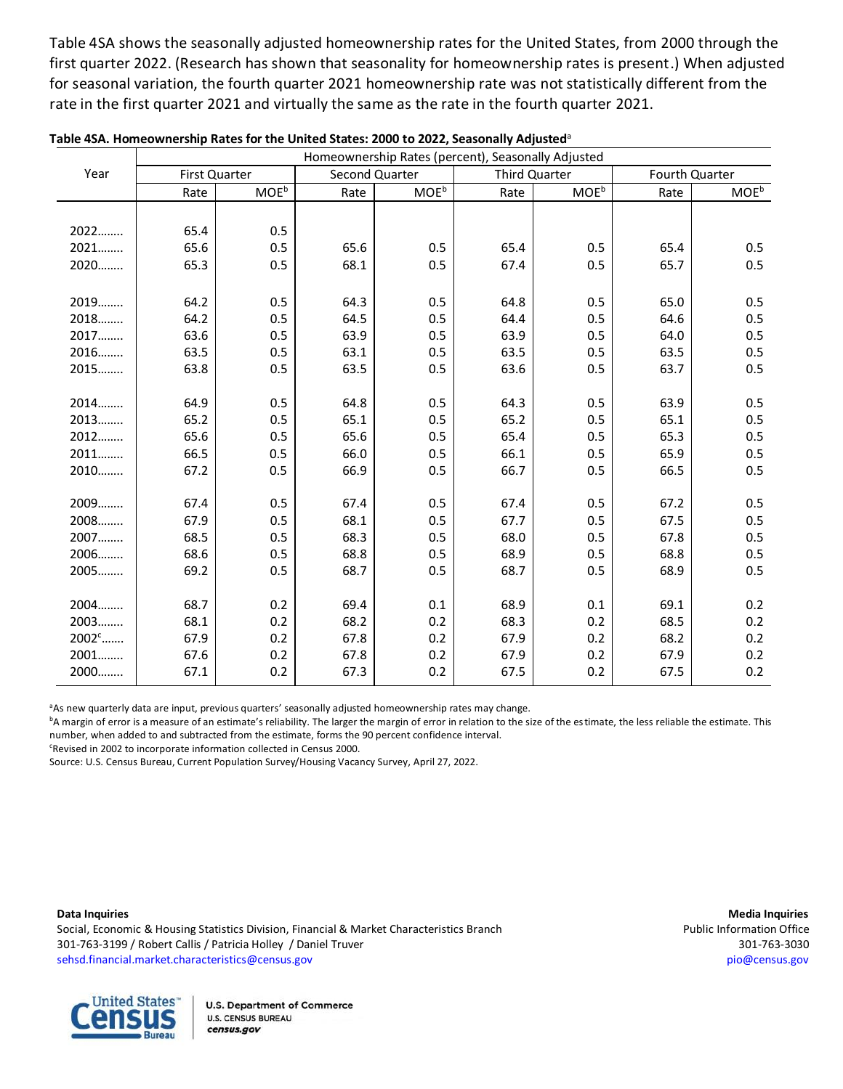Table 4SA shows the seasonally adjusted homeownership rates for the United States, from 2000 through the first quarter 2022. (Research has shown that seasonality for homeownership rates is present.) When adjusted for seasonal variation, the fourth quarter 2021 homeownership rate was not statistically different from the rate in the first quarter 2021 and virtually the same as the rate in the fourth quarter 2021.

|          |      | Homeownership Rates (percent), Seasonally Adjusted |                |                         |                      |                         |                |                         |  |  |  |  |  |
|----------|------|----------------------------------------------------|----------------|-------------------------|----------------------|-------------------------|----------------|-------------------------|--|--|--|--|--|
| Year     |      | <b>First Quarter</b>                               | Second Quarter |                         | <b>Third Quarter</b> |                         | Fourth Quarter |                         |  |  |  |  |  |
|          | Rate | <b>MOE</b> <sup>b</sup>                            | Rate           | <b>MOE</b> <sup>b</sup> | Rate                 | <b>MOE</b> <sup>b</sup> | Rate           | <b>MOE</b> <sup>b</sup> |  |  |  |  |  |
|          |      |                                                    |                |                         |                      |                         |                |                         |  |  |  |  |  |
| 2022     | 65.4 | 0.5                                                |                |                         |                      |                         |                |                         |  |  |  |  |  |
| 2021     | 65.6 | 0.5                                                | 65.6           | 0.5                     | 65.4                 | 0.5                     | 65.4           | 0.5                     |  |  |  |  |  |
| 2020     | 65.3 | 0.5                                                | 68.1           | 0.5                     | 67.4                 | 0.5                     | 65.7           | 0.5                     |  |  |  |  |  |
|          |      |                                                    |                |                         |                      |                         |                |                         |  |  |  |  |  |
| 2019     | 64.2 | 0.5                                                | 64.3           | 0.5                     | 64.8                 | 0.5                     | 65.0           | 0.5                     |  |  |  |  |  |
| 2018     | 64.2 | 0.5                                                | 64.5           | 0.5                     | 64.4                 | 0.5                     | 64.6           | 0.5                     |  |  |  |  |  |
| 2017     | 63.6 | 0.5                                                | 63.9           | 0.5                     | 63.9                 | 0.5                     | 64.0           | 0.5                     |  |  |  |  |  |
| 2016     | 63.5 | 0.5                                                | 63.1           | 0.5                     | 63.5                 | 0.5                     | 63.5           | 0.5                     |  |  |  |  |  |
| 2015     | 63.8 | 0.5                                                | 63.5           | 0.5                     | 63.6                 | 0.5                     | 63.7           | 0.5                     |  |  |  |  |  |
|          |      |                                                    |                |                         |                      |                         |                |                         |  |  |  |  |  |
| 2014     | 64.9 | 0.5                                                | 64.8           | 0.5                     | 64.3                 | 0.5                     | 63.9           | 0.5                     |  |  |  |  |  |
| 2013     | 65.2 | 0.5                                                | 65.1           | 0.5                     | 65.2                 | 0.5                     | 65.1           | 0.5                     |  |  |  |  |  |
| 2012     | 65.6 | 0.5                                                | 65.6           | 0.5                     | 65.4                 | 0.5                     | 65.3           | 0.5                     |  |  |  |  |  |
| 2011     | 66.5 | 0.5                                                | 66.0           | 0.5                     | 66.1                 | 0.5                     | 65.9           | 0.5                     |  |  |  |  |  |
| 2010     | 67.2 | 0.5                                                | 66.9           | 0.5                     | 66.7                 | 0.5                     | 66.5           | 0.5                     |  |  |  |  |  |
|          |      |                                                    |                |                         |                      |                         |                |                         |  |  |  |  |  |
| 2009     | 67.4 | 0.5                                                | 67.4           | 0.5                     | 67.4                 | 0.5                     | 67.2           | 0.5                     |  |  |  |  |  |
| 2008     | 67.9 | 0.5                                                | 68.1           | 0.5                     | 67.7                 | 0.5                     | 67.5           | 0.5                     |  |  |  |  |  |
| 2007     | 68.5 | 0.5                                                | 68.3           | 0.5                     | 68.0                 | 0.5                     | 67.8           | 0.5                     |  |  |  |  |  |
| 2006     | 68.6 | 0.5                                                | 68.8           | 0.5                     | 68.9                 | 0.5                     | 68.8           | 0.5                     |  |  |  |  |  |
| 2005     | 69.2 | 0.5                                                | 68.7           | 0.5                     | 68.7                 | 0.5                     | 68.9           | 0.5                     |  |  |  |  |  |
|          |      |                                                    |                |                         |                      |                         |                |                         |  |  |  |  |  |
| 2004     | 68.7 | 0.2                                                | 69.4           | 0.1                     | 68.9                 | 0.1                     | 69.1           | 0.2                     |  |  |  |  |  |
| 2003     | 68.1 | 0.2                                                | 68.2           | 0.2                     | 68.3                 | 0.2                     | 68.5           | 0.2                     |  |  |  |  |  |
| $2002^c$ | 67.9 | 0.2                                                | 67.8           | 0.2                     | 67.9                 | 0.2                     | 68.2           | 0.2                     |  |  |  |  |  |
| 2001     | 67.6 | 0.2                                                | 67.8           | 0.2                     | 67.9                 | 0.2                     | 67.9           | 0.2                     |  |  |  |  |  |
| 2000     | 67.1 | 0.2                                                | 67.3           | 0.2                     | 67.5                 | 0.2                     | 67.5           | 0.2                     |  |  |  |  |  |

| Table 4SA. Homeownership Rates for the United States: 2000 to 2022, Seasonally Adjusted <sup>a</sup> |
|------------------------------------------------------------------------------------------------------|
|------------------------------------------------------------------------------------------------------|

<sup>a</sup>As new quarterly data are input, previous quarters' seasonally adjusted homeownership rates may change.

<sup>b</sup>A margin of error is a measure of an estimate's reliability. The larger the margin of error in relation to the size of the estimate, the less reliable the estimate. This number, when added to and subtracted from the estimate, forms the 90 percent confidence interval.

<sup>c</sup>Revised in 2002 to incorporate information collected in Census 2000.

Source: U.S. Census Bureau, Current Population Survey/Housing Vacancy Survey, April 27, 2022.

Social, Economic & Housing Statistics Division, Financial & Market Characteristics Branch Public Information Office 301-763-3199 / Robert Callis / Patricia Holley / Daniel Truver 301-763-3030 [sehsd.financial.market.characteristics@census.gov](mailto:sehsd.financial.market.characteristics@census.gov) [pio@census.gov](http://www.census.gov/manufacturing/m3)

**Data Inquiries Media Inquiries**

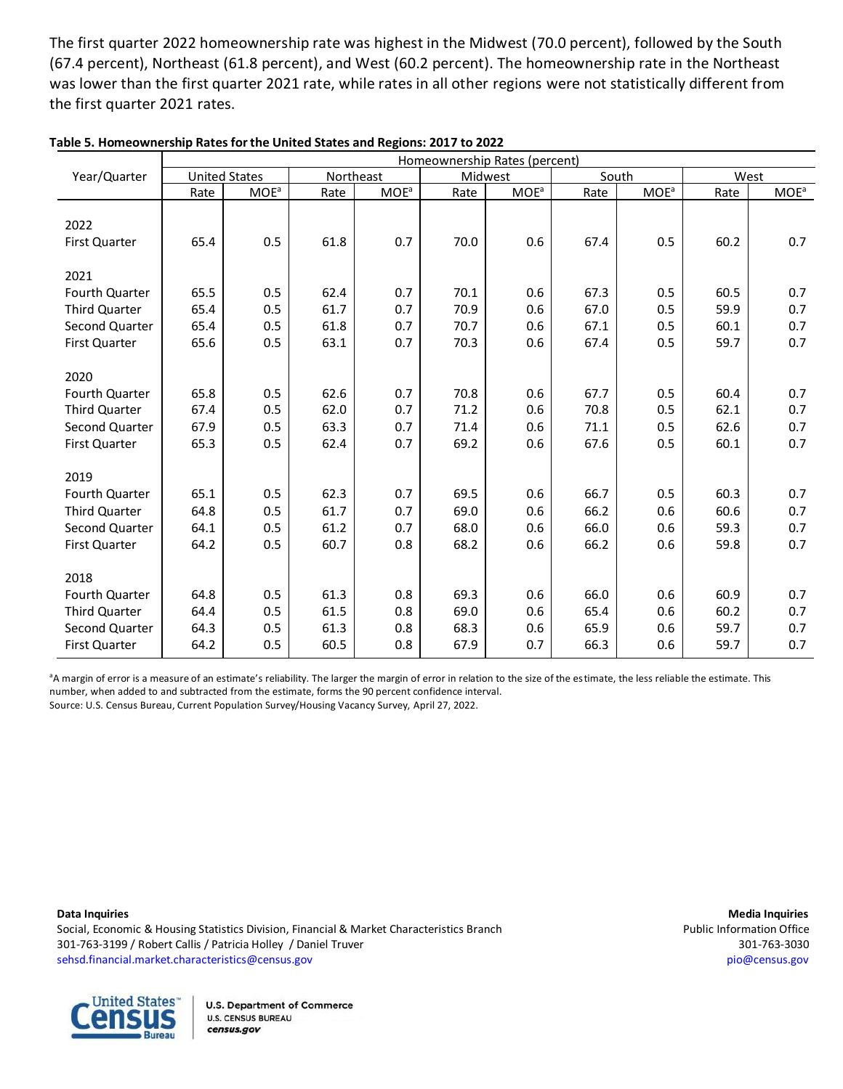The first quarter 2022 homeownership rate was highest in the Midwest (70.0 percent), followed by the South (67.4 percent), Northeast (61.8 percent), and West (60.2 percent). The homeownership rate in the Northeast was lower than the first quarter 2021 rate, while rates in all other regions were not statistically different from the first quarter 2021 rates.

|                      |      |                         |      | Homeownership Rates (percent) |      |                         |      |                         |      |                         |  |  |  |
|----------------------|------|-------------------------|------|-------------------------------|------|-------------------------|------|-------------------------|------|-------------------------|--|--|--|
| Year/Quarter         |      | <b>United States</b>    |      | Northeast                     |      | Midwest                 |      | South                   |      | West                    |  |  |  |
|                      | Rate | <b>MOE</b> <sup>a</sup> | Rate | <b>MOE</b> <sup>a</sup>       | Rate | <b>MOE</b> <sup>a</sup> | Rate | <b>MOE</b> <sup>a</sup> | Rate | <b>MOE</b> <sup>a</sup> |  |  |  |
|                      |      |                         |      |                               |      |                         |      |                         |      |                         |  |  |  |
| 2022                 |      |                         |      |                               |      |                         |      |                         |      |                         |  |  |  |
| First Quarter        | 65.4 | 0.5                     | 61.8 | 0.7                           | 70.0 | 0.6                     | 67.4 | 0.5                     | 60.2 | 0.7                     |  |  |  |
|                      |      |                         |      |                               |      |                         |      |                         |      |                         |  |  |  |
| 2021                 |      |                         |      |                               |      |                         |      |                         |      |                         |  |  |  |
| Fourth Quarter       | 65.5 | 0.5                     | 62.4 | 0.7                           | 70.1 | 0.6                     | 67.3 | 0.5                     | 60.5 | 0.7                     |  |  |  |
| <b>Third Quarter</b> | 65.4 | 0.5                     | 61.7 | 0.7                           | 70.9 | 0.6                     | 67.0 | 0.5                     | 59.9 | 0.7                     |  |  |  |
| Second Quarter       | 65.4 | 0.5                     | 61.8 | 0.7                           | 70.7 | 0.6                     | 67.1 | 0.5                     | 60.1 | 0.7                     |  |  |  |
| First Quarter        | 65.6 | 0.5                     | 63.1 | 0.7                           | 70.3 | 0.6                     | 67.4 | 0.5                     | 59.7 | 0.7                     |  |  |  |
|                      |      |                         |      |                               |      |                         |      |                         |      |                         |  |  |  |
| 2020                 |      |                         |      |                               |      |                         |      |                         |      |                         |  |  |  |
| Fourth Quarter       | 65.8 | 0.5                     | 62.6 | 0.7                           | 70.8 | 0.6                     | 67.7 | 0.5                     | 60.4 | 0.7                     |  |  |  |
| <b>Third Quarter</b> | 67.4 | 0.5                     | 62.0 | 0.7                           | 71.2 | 0.6                     | 70.8 | 0.5                     | 62.1 | 0.7                     |  |  |  |
| Second Quarter       | 67.9 | 0.5                     | 63.3 | 0.7                           | 71.4 | 0.6                     | 71.1 | 0.5                     | 62.6 | 0.7                     |  |  |  |
| First Quarter        | 65.3 | 0.5                     | 62.4 | 0.7                           | 69.2 | 0.6                     | 67.6 | 0.5                     | 60.1 | 0.7                     |  |  |  |
|                      |      |                         |      |                               |      |                         |      |                         |      |                         |  |  |  |
| 2019                 |      |                         |      |                               |      |                         |      |                         |      |                         |  |  |  |
| Fourth Quarter       | 65.1 | 0.5                     | 62.3 | 0.7                           | 69.5 | 0.6                     | 66.7 | 0.5                     | 60.3 | 0.7                     |  |  |  |
| <b>Third Quarter</b> | 64.8 | 0.5                     | 61.7 | 0.7                           | 69.0 | 0.6                     | 66.2 | 0.6                     | 60.6 | 0.7                     |  |  |  |
| Second Quarter       | 64.1 | 0.5                     | 61.2 | 0.7                           | 68.0 | 0.6                     | 66.0 | 0.6                     | 59.3 | 0.7                     |  |  |  |
| First Quarter        | 64.2 | 0.5                     | 60.7 | 0.8                           | 68.2 | 0.6                     | 66.2 | 0.6                     | 59.8 | 0.7                     |  |  |  |
|                      |      |                         |      |                               |      |                         |      |                         |      |                         |  |  |  |
| 2018                 |      |                         |      |                               |      |                         |      |                         |      |                         |  |  |  |
| Fourth Quarter       | 64.8 | 0.5                     | 61.3 | 0.8                           | 69.3 | 0.6                     | 66.0 | 0.6                     | 60.9 | 0.7                     |  |  |  |
| <b>Third Quarter</b> | 64.4 | 0.5                     | 61.5 | 0.8                           | 69.0 | 0.6                     | 65.4 | 0.6                     | 60.2 | 0.7                     |  |  |  |
| Second Quarter       | 64.3 | 0.5                     | 61.3 | 0.8                           | 68.3 | 0.6                     | 65.9 | 0.6                     | 59.7 | 0.7                     |  |  |  |
| <b>First Quarter</b> | 64.2 | 0.5                     | 60.5 | 0.8                           | 67.9 | 0.7                     | 66.3 | 0.6                     | 59.7 | 0.7                     |  |  |  |

| Table 5. Homeownership Rates for the United States and Regions: 2017 to 2022 |  |
|------------------------------------------------------------------------------|--|
|------------------------------------------------------------------------------|--|

<sup>a</sup>A margin of error is a measure of an estimate's reliability. The larger the margin of error in relation to the size of the estimate, the less reliable the estimate. This number, when added to and subtracted from the estimate, forms the 90 percent confidence interval.<br>Contract for the Care of the substantial contract of the site of the substantial contract of 27,2000. Source: U.S. Census Bureau, Current Population Survey/Housing Vacancy Survey, April 27, 2022.<br>.

**Data Inquiries Media Inquiries** Social, Economic & Housing Statistics Division, Financial & Market Characteristics Branch **Public Information Office** 301-763-3199 / Robert Callis / Patricia Holley / Daniel Truver 301-763-3030 [sehsd.financial.market.characteristics@census.gov](mailto:sehsd.financial.market.characteristics@census.gov) [pio@census.gov](http://www.census.gov/manufacturing/m3) Data Inquiries



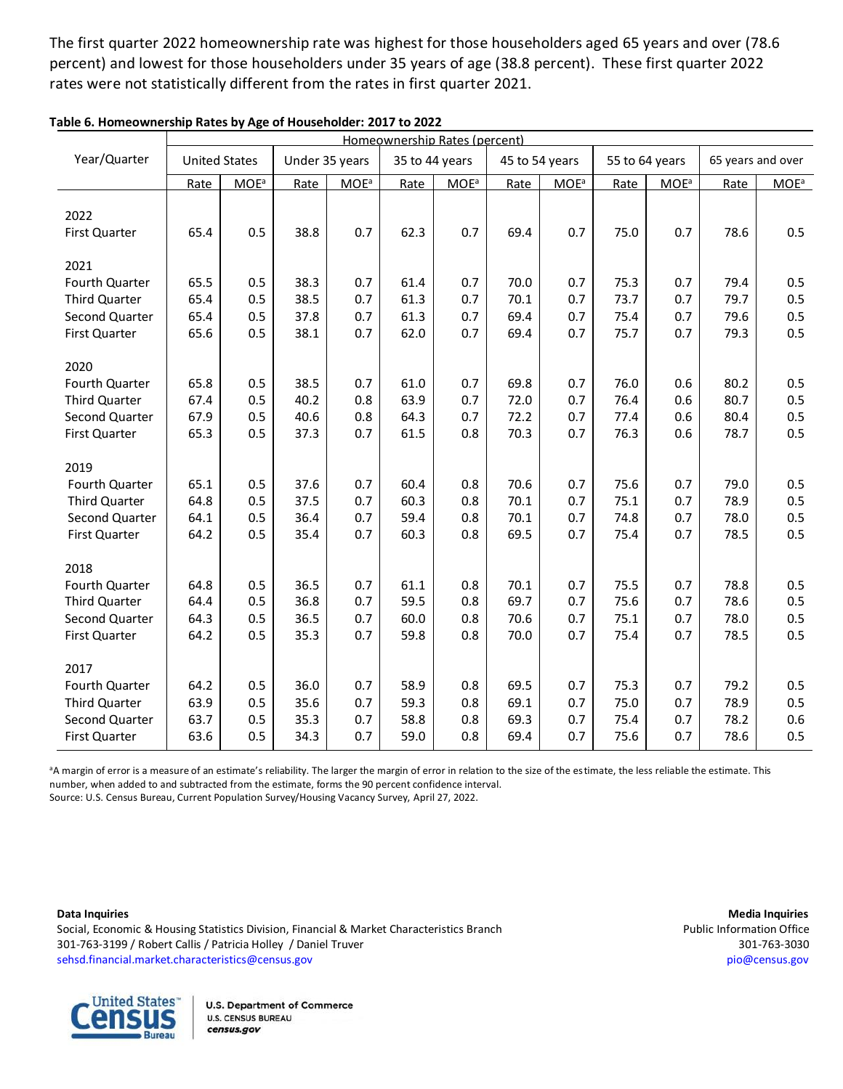The first quarter 2022 homeownership rate was highest for those householders aged 65 years and over (78.6 percent) and lowest for those householders under 35 years of age (38.8 percent). These first quarter 2022 rates were not statistically different from the rates in first quarter 2021.

|                       | Homeownership Rates (percent) |                         |                |                         |                |                         |                |         |      |                         |      |                   |
|-----------------------|-------------------------------|-------------------------|----------------|-------------------------|----------------|-------------------------|----------------|---------|------|-------------------------|------|-------------------|
| Year/Quarter          | <b>United States</b>          |                         | Under 35 years |                         | 35 to 44 years |                         | 45 to 54 years |         |      | 55 to 64 years          |      | 65 years and over |
|                       | Rate                          | <b>MOE</b> <sup>a</sup> | Rate           | <b>MOE</b> <sup>a</sup> | Rate           | <b>MOE</b> <sup>a</sup> | Rate           | $MOE^a$ | Rate | <b>MOE</b> <sup>a</sup> | Rate | $MOE^a$           |
| 2022<br>First Quarter | 65.4                          | 0.5                     | 38.8           | 0.7                     | 62.3           | 0.7                     | 69.4           | 0.7     | 75.0 | 0.7                     | 78.6 | 0.5               |
| 2021                  |                               |                         |                |                         |                |                         |                |         |      |                         |      |                   |
| Fourth Quarter        | 65.5                          | 0.5                     | 38.3           | 0.7                     | 61.4           | 0.7                     | 70.0           | 0.7     | 75.3 | 0.7                     | 79.4 | 0.5               |
| Third Quarter         | 65.4                          | 0.5                     | 38.5           | 0.7                     | 61.3           | 0.7                     | 70.1           | 0.7     | 73.7 | 0.7                     | 79.7 | 0.5               |
| Second Quarter        | 65.4                          | 0.5                     | 37.8           | 0.7                     | 61.3           | 0.7                     | 69.4           | 0.7     | 75.4 | 0.7                     | 79.6 | 0.5               |
| First Quarter         | 65.6                          | 0.5                     | 38.1           | 0.7                     | 62.0           | 0.7                     | 69.4           | 0.7     | 75.7 | 0.7                     | 79.3 | 0.5               |
| 2020                  |                               |                         |                |                         |                |                         |                |         |      |                         |      |                   |
| Fourth Quarter        | 65.8                          | 0.5                     | 38.5           | 0.7                     | 61.0           | 0.7                     | 69.8           | 0.7     | 76.0 | 0.6                     | 80.2 | 0.5               |
| <b>Third Quarter</b>  | 67.4                          | 0.5                     | 40.2           | 0.8                     | 63.9           | 0.7                     | 72.0           | 0.7     | 76.4 | 0.6                     | 80.7 | 0.5               |
| Second Quarter        | 67.9                          | 0.5                     | 40.6           | 0.8                     | 64.3           | 0.7                     | 72.2           | 0.7     | 77.4 | 0.6                     | 80.4 | 0.5               |
| First Quarter         | 65.3                          | 0.5                     | 37.3           | 0.7                     | 61.5           | 0.8                     | 70.3           | 0.7     | 76.3 | 0.6                     | 78.7 | 0.5               |
| 2019                  |                               |                         |                |                         |                |                         |                |         |      |                         |      |                   |
| Fourth Quarter        | 65.1                          | 0.5                     | 37.6           | 0.7                     | 60.4           | 0.8                     | 70.6           | 0.7     | 75.6 | 0.7                     | 79.0 | 0.5               |
| Third Quarter         | 64.8                          | 0.5                     | 37.5           | 0.7                     | 60.3           | 0.8                     | 70.1           | 0.7     | 75.1 | 0.7                     | 78.9 | 0.5               |
| Second Quarter        | 64.1                          | 0.5                     | 36.4           | 0.7                     | 59.4           | 0.8                     | 70.1           | 0.7     | 74.8 | 0.7                     | 78.0 | 0.5               |
| First Quarter         | 64.2                          | 0.5                     | 35.4           | 0.7                     | 60.3           | 0.8                     | 69.5           | 0.7     | 75.4 | 0.7                     | 78.5 | 0.5               |
| 2018                  |                               |                         |                |                         |                |                         |                |         |      |                         |      |                   |
| Fourth Quarter        | 64.8                          | 0.5                     | 36.5           | 0.7                     | 61.1           | 0.8                     | 70.1           | 0.7     | 75.5 | 0.7                     | 78.8 | 0.5               |
| Third Quarter         | 64.4                          | 0.5                     | 36.8           | 0.7                     | 59.5           | 0.8                     | 69.7           | 0.7     | 75.6 | 0.7                     | 78.6 | 0.5               |
| Second Quarter        | 64.3                          | 0.5                     | 36.5           | 0.7                     | 60.0           | 0.8                     | 70.6           | 0.7     | 75.1 | 0.7                     | 78.0 | 0.5               |
| First Quarter         | 64.2                          | 0.5                     | 35.3           | 0.7                     | 59.8           | 0.8                     | 70.0           | 0.7     | 75.4 | 0.7                     | 78.5 | 0.5               |
| 2017                  |                               |                         |                |                         |                |                         |                |         |      |                         |      |                   |
| Fourth Quarter        | 64.2                          | 0.5                     | 36.0           | 0.7                     | 58.9           | 0.8                     | 69.5           | 0.7     | 75.3 | 0.7                     | 79.2 | 0.5               |
| Third Quarter         | 63.9                          | 0.5                     | 35.6           | 0.7                     | 59.3           | 0.8                     | 69.1           | 0.7     | 75.0 | 0.7                     | 78.9 | 0.5               |
| Second Quarter        | 63.7                          | 0.5                     | 35.3           | 0.7                     | 58.8           | 0.8                     | 69.3           | 0.7     | 75.4 | 0.7                     | 78.2 | 0.6               |
| First Quarter         | 63.6                          | 0.5                     | 34.3           | 0.7                     | 59.0           | 0.8                     | 69.4           | 0.7     | 75.6 | 0.7                     | 78.6 | 0.5               |

**Table 6. Homeownership Rates by Age of Householder: 2017 to 2022**

<sup>a</sup>A margin of error is a measure of an estimate's reliability. The larger the margin of error in relation to the size of the estimate, the less reliable the estimate. This number, when added to and subtracted from the estimate, forms the 90 percent confidence interval. Source: U.S. Census Bureau, Current Population Survey/Housing Vacancy Survey, April 27, 2022.<br>.

Data Inquiries

ocial, Economic & Housing Statistics Division, Financial & Market Characteristics Branch **Public Information Office**<br>Social, Economic & Housing Statistics Division, Financial & Market Characteristics Branch ookal, Eomonic & Hodding Statistics Division, Hiancia & Market Characteristics Dianieli<br>301-763-3030 ( Robert Callis / Patricia Holley / Daniel Truver 301-763-3030 [sehsd.financial.market.characteristics@census.gov](mailto:sehsd.financial.market.characteristics@census.gov) [pio@census.gov](http://www.census.gov/manufacturing/m3) 2014  $\frac{8}{3}$ 1.0  $\overline{\phantom{a}}$ 

**Data Inquiries Media Inquiries**  $\overline{a}$  $\ddot{\phantom{0}}$ 78.7 0.7 **Principal induine:**<br>Permetian Offici mommation ome<br>201-763-3031



U.S. Department of Con census.gov 64.8 **U.S. CENSUS BUREAU**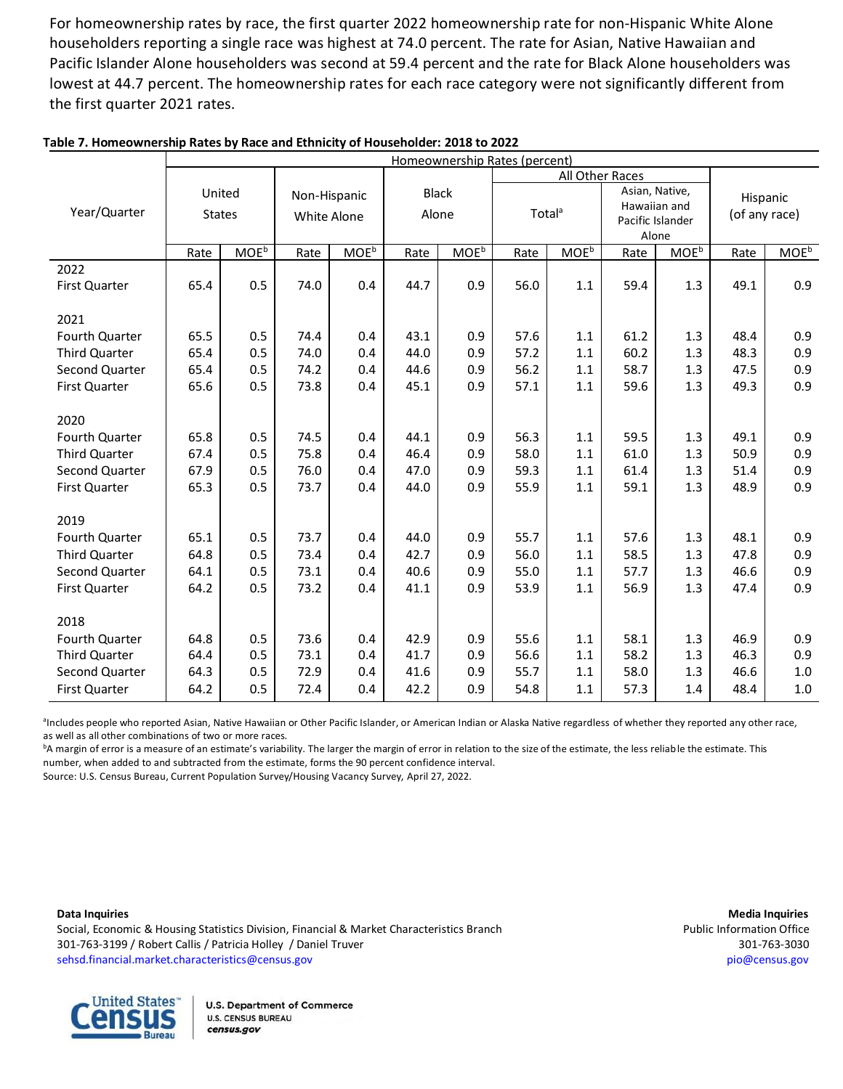For homeownership rates by race, the first quarter 2022 homeownership rate for non-Hispanic White Alone householders reporting a single race was highest at 74.0 percent. The rate for Asian, Native Hawaiian and Pacific Islander Alone householders was second at 59.4 percent and the rate for Black Alone householders was lowest at 44.7 percent. The homeownership rates for each race category were not significantly different from the first quarter 2021 rates.

|                      | Homeownership Rates (percent) |                         |              |                  |              |                  |                    |                  |      |                           |               |                         |
|----------------------|-------------------------------|-------------------------|--------------|------------------|--------------|------------------|--------------------|------------------|------|---------------------------|---------------|-------------------------|
|                      |                               |                         |              |                  |              |                  |                    | All Other Races  |      |                           |               |                         |
|                      | United                        |                         | Non-Hispanic |                  | <b>Black</b> |                  |                    |                  |      | Asian, Native,            |               | Hispanic                |
| Year/Quarter         | <b>States</b>                 |                         | White Alone  |                  | Alone        |                  | Total <sup>a</sup> |                  |      | Hawaiian and              | (of any race) |                         |
|                      |                               |                         |              |                  |              |                  |                    |                  |      | Pacific Islander<br>Alone |               |                         |
|                      | Rate                          | <b>MOE</b> <sup>b</sup> | Rate         | MOE <sup>b</sup> | Rate         | MOE <sup>b</sup> | Rate               | MOE <sup>b</sup> | Rate | MOE <sup>b</sup>          | Rate          | <b>MOE</b> <sup>b</sup> |
| 2022                 |                               |                         |              |                  |              |                  |                    |                  |      |                           |               |                         |
| First Quarter        | 65.4                          | 0.5                     | 74.0         | 0.4              | 44.7         | 0.9              | 56.0               | 1.1              | 59.4 | 1.3                       | 49.1          | 0.9                     |
|                      |                               |                         |              |                  |              |                  |                    |                  |      |                           |               |                         |
| 2021                 |                               |                         |              |                  |              |                  |                    |                  |      |                           |               |                         |
| Fourth Quarter       | 65.5                          | 0.5                     | 74.4         | 0.4              | 43.1         | 0.9              | 57.6               | 1.1              | 61.2 | 1.3                       | 48.4          | 0.9                     |
| Third Quarter        | 65.4                          | 0.5                     | 74.0         | 0.4              | 44.0         | 0.9              | 57.2               | 1.1              | 60.2 | 1.3                       | 48.3          | 0.9                     |
| Second Quarter       | 65.4                          | 0.5                     | 74.2         | 0.4              | 44.6         | 0.9              | 56.2               | 1.1              | 58.7 | 1.3                       | 47.5          | 0.9                     |
| First Quarter        | 65.6                          | 0.5                     | 73.8         | 0.4              | 45.1         | 0.9              | 57.1               | 1.1              | 59.6 | 1.3                       | 49.3          | 0.9                     |
|                      |                               |                         |              |                  |              |                  |                    |                  |      |                           |               |                         |
| 2020                 |                               |                         |              |                  |              |                  |                    |                  |      |                           |               |                         |
| Fourth Quarter       | 65.8                          | 0.5                     | 74.5         | 0.4              | 44.1         | 0.9              | 56.3               | 1.1              | 59.5 | 1.3                       | 49.1          | 0.9                     |
| <b>Third Quarter</b> | 67.4                          | 0.5                     | 75.8         | 0.4              | 46.4         | 0.9              | 58.0               | 1.1              | 61.0 | 1.3                       | 50.9          | 0.9                     |
| Second Quarter       | 67.9                          | 0.5                     | 76.0         | 0.4              | 47.0         | 0.9              | 59.3               | 1.1              | 61.4 | 1.3                       | 51.4          | 0.9                     |
| First Quarter        | 65.3                          | 0.5                     | 73.7         | 0.4              | 44.0         | 0.9              | 55.9               | 1.1              | 59.1 | 1.3                       | 48.9          | 0.9                     |
|                      |                               |                         |              |                  |              |                  |                    |                  |      |                           |               |                         |
| 2019                 |                               |                         |              |                  |              |                  |                    |                  |      |                           |               |                         |
| Fourth Quarter       | 65.1                          | 0.5                     | 73.7         | 0.4              | 44.0         | 0.9              | 55.7               | 1.1              | 57.6 | 1.3                       | 48.1          | 0.9                     |
| Third Quarter        | 64.8                          | 0.5                     | 73.4         | 0.4              | 42.7         | 0.9              | 56.0               | 1.1              | 58.5 | 1.3                       | 47.8          | 0.9                     |
| Second Quarter       | 64.1                          | 0.5                     | 73.1         | 0.4              | 40.6         | 0.9              | 55.0               | 1.1              | 57.7 | 1.3                       | 46.6          | 0.9                     |
| First Quarter        | 64.2                          | 0.5                     | 73.2         | 0.4              | 41.1         | 0.9              | 53.9               | 1.1              | 56.9 | 1.3                       | 47.4          | 0.9                     |
| 2018                 |                               |                         |              |                  |              |                  |                    |                  |      |                           |               |                         |
| Fourth Quarter       | 64.8                          | 0.5                     | 73.6         | 0.4              | 42.9         | 0.9              | 55.6               | 1.1              | 58.1 | 1.3                       | 46.9          | 0.9                     |
| Third Quarter        | 64.4                          | 0.5                     | 73.1         | 0.4              | 41.7         | 0.9              | 56.6               | 1.1              | 58.2 | 1.3                       | 46.3          | 0.9                     |
| Second Quarter       | 64.3                          | 0.5                     | 72.9         | 0.4              | 41.6         | 0.9              | 55.7               | 1.1              | 58.0 | 1.3                       | 46.6          | 1.0                     |
| First Quarter        | 64.2                          | 0.5                     | 72.4         | 0.4              | 42.2         | 0.9              | 54.8               | 1.1              | 57.3 | 1.4                       | 48.4          | $1.0\,$                 |
|                      |                               |                         |              |                  |              |                  |                    |                  |      |                           |               |                         |

### **Table 7. Homeownership Rates by Race and Ethnicity of Householder: 2018 to 2022**

<sup>a</sup>Includes people who reported Asian, Native Hawaiian or Other Pacific Islander, or American Indian or Alaska Native regardless of whether they reported any other race, as well as all other combinations of two or more races.<br>https://www.particle.org/ 72.7 0.4 42.1 0.9 55.4 1.1 58.2 1.4  $\frac{1}{2}$ 

A margin or error is a measure or an estimate 3 variability. The larger the margin or error in relation to announce interval.  $5125$ .....<br>...  $55$  $1.4$ <sup>b</sup>A margin of error is a measure of an estimate's variability. The larger the margin of error in relation to the size of the estimate, the less reliable the estimate. This<br>number, when added to and subtracted from the est

Source: U.S. Census Bureau, Current Population Survey/Housing Vacancy Survey, April 27, 2022.

Social, Economic & Housing Statistics Division, Financial & Market Characteristics Branch Public Information Office 301-763-3199 / Robert Callis / Patricia Holley / Daniel Truver 301-763-3030 [sehsd.financial.market.characteristics@census.gov](mailto:sehsd.financial.market.characteristics@census.gov) [pio@census.gov](http://www.census.gov/manufacturing/m3)

**Data Inquiries Media Inquiries**

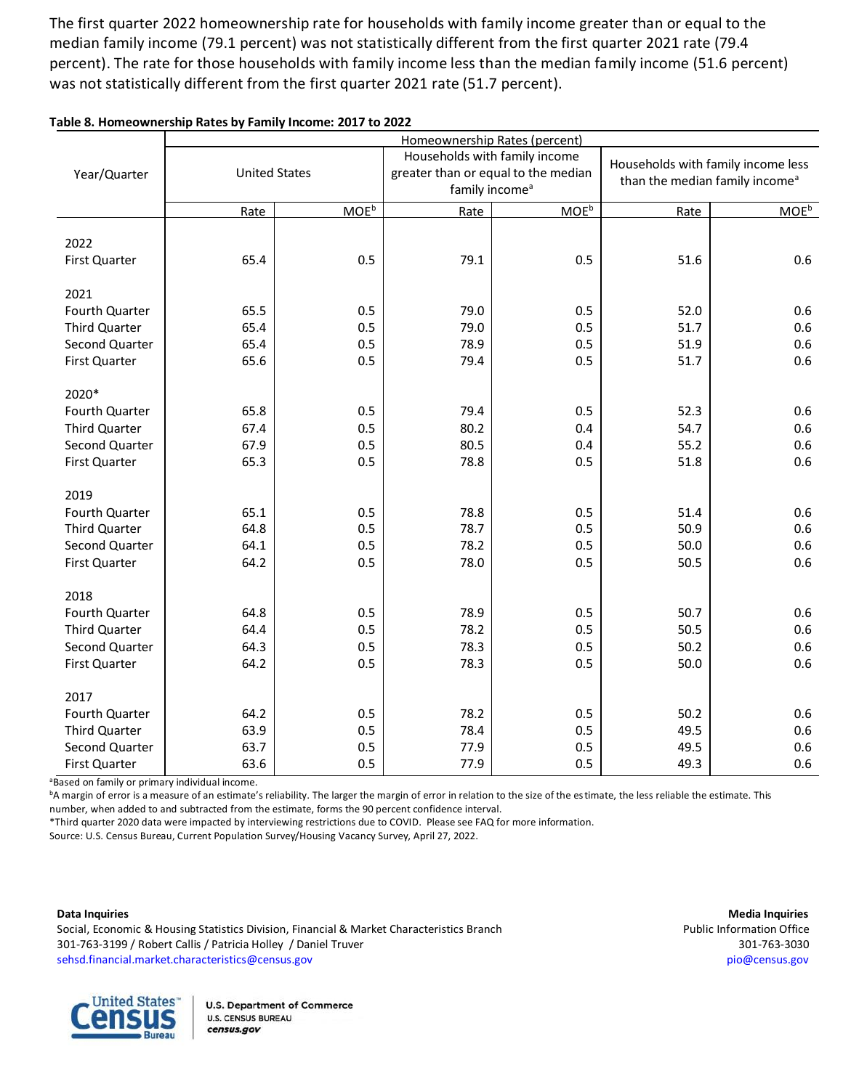The first quarter 2022 homeownership rate for households with family income greater than or equal to the median family income (79.1 percent) was not statistically different from the first quarter 2021 rate (79.4 percent). The rate for those households with family income less than the median family income (51.6 percent) was not statistically different from the first quarter 2021 rate (51.7 percent).

|                                 | Homeownership Rates (percent) |                  |                               |                                     |                                                                                  |            |  |  |  |  |
|---------------------------------|-------------------------------|------------------|-------------------------------|-------------------------------------|----------------------------------------------------------------------------------|------------|--|--|--|--|
|                                 |                               |                  | Households with family income |                                     | Households with family income less<br>than the median family income <sup>a</sup> |            |  |  |  |  |
| Year/Quarter                    | <b>United States</b>          |                  |                               | greater than or equal to the median |                                                                                  |            |  |  |  |  |
|                                 |                               |                  | family income <sup>a</sup>    |                                     |                                                                                  |            |  |  |  |  |
|                                 | Rate                          | MOE <sup>b</sup> | Rate                          | MOE <sup>b</sup>                    | Rate                                                                             | $MOE^b$    |  |  |  |  |
|                                 |                               |                  |                               |                                     |                                                                                  |            |  |  |  |  |
| 2022                            |                               |                  |                               |                                     |                                                                                  |            |  |  |  |  |
| First Quarter                   | 65.4                          | 0.5              | 79.1                          | 0.5                                 | 51.6                                                                             | 0.6        |  |  |  |  |
| 2021                            |                               |                  |                               |                                     |                                                                                  |            |  |  |  |  |
| Fourth Quarter                  | 65.5                          | 0.5              | 79.0                          | 0.5                                 | 52.0                                                                             | 0.6        |  |  |  |  |
| Third Quarter                   | 65.4                          | 0.5              | 79.0                          | 0.5                                 | 51.7                                                                             | 0.6        |  |  |  |  |
| Second Quarter                  | 65.4                          | 0.5              | 78.9                          | 0.5                                 | 51.9                                                                             | 0.6        |  |  |  |  |
| First Quarter                   | 65.6                          | 0.5              | 79.4                          | 0.5                                 | 51.7                                                                             | 0.6        |  |  |  |  |
|                                 |                               |                  |                               |                                     |                                                                                  |            |  |  |  |  |
| 2020*                           |                               |                  |                               |                                     |                                                                                  |            |  |  |  |  |
| Fourth Quarter                  | 65.8                          | 0.5              | 79.4                          | 0.5                                 | 52.3                                                                             | 0.6        |  |  |  |  |
| <b>Third Quarter</b>            | 67.4                          | 0.5              | 80.2                          | 0.4                                 | 54.7                                                                             | 0.6        |  |  |  |  |
| Second Quarter                  | 67.9                          | 0.5              | 80.5                          | 0.4                                 | 55.2                                                                             | 0.6        |  |  |  |  |
| First Quarter                   | 65.3                          | 0.5              | 78.8                          | 0.5                                 | 51.8                                                                             | 0.6        |  |  |  |  |
|                                 |                               |                  |                               |                                     |                                                                                  |            |  |  |  |  |
| 2019                            |                               |                  |                               |                                     |                                                                                  |            |  |  |  |  |
| Fourth Quarter<br>Third Quarter | 65.1<br>64.8                  | 0.5<br>0.5       | 78.8<br>78.7                  | 0.5<br>0.5                          | 51.4<br>50.9                                                                     | 0.6<br>0.6 |  |  |  |  |
| Second Quarter                  | 64.1                          | 0.5              | 78.2                          | 0.5                                 | 50.0                                                                             | 0.6        |  |  |  |  |
| First Quarter                   | 64.2                          | 0.5              | 78.0                          | 0.5                                 | 50.5                                                                             | 0.6        |  |  |  |  |
|                                 |                               |                  |                               |                                     |                                                                                  |            |  |  |  |  |
| 2018                            |                               |                  |                               |                                     |                                                                                  |            |  |  |  |  |
| Fourth Quarter                  | 64.8                          | 0.5              | 78.9                          | 0.5                                 | 50.7                                                                             | 0.6        |  |  |  |  |
| Third Quarter                   | 64.4                          | 0.5              | 78.2                          | 0.5                                 | 50.5                                                                             | 0.6        |  |  |  |  |
| Second Quarter                  | 64.3                          | 0.5              | 78.3                          | 0.5                                 | 50.2                                                                             | 0.6        |  |  |  |  |
| First Quarter                   | 64.2                          | 0.5              | 78.3                          | 0.5                                 | 50.0                                                                             | 0.6        |  |  |  |  |
|                                 |                               |                  |                               |                                     |                                                                                  |            |  |  |  |  |
| 2017                            |                               |                  |                               |                                     |                                                                                  |            |  |  |  |  |
| Fourth Quarter                  | 64.2                          | 0.5              | 78.2                          | 0.5                                 | 50.2                                                                             | 0.6        |  |  |  |  |
| Third Quarter                   | 63.9                          | 0.5              | 78.4                          | 0.5                                 | 49.5                                                                             | 0.6        |  |  |  |  |
| Second Quarter                  | 63.7                          | 0.5              | 77.9                          | 0.5                                 | 49.5                                                                             | 0.6        |  |  |  |  |
| First Quarter                   | 63.6                          | 0.5              | 77.9                          | 0.5                                 | 49.3                                                                             | 0.6        |  |  |  |  |

### **Table 8. Homeownership Rates by Family Income: 2017 to 2022**

<sup>a</sup>Based on family or primary individual income.

<sup>b</sup>A margin of error is a measure of an estimate's reliability. The larger the margin of error in relation to the size of the estimate, the less reliable the estimate. This number, when added to and subtracted from the estimate, forms the 90 percent confidence interval.<br>\*Third quarter 2020 data were impacted by interviewing restrictions due to COVID . Please see EAO fr

 $\frac{1}{2}$ \*Third quarter 2020 data were impacted by interviewing restrictions due to COVID. Please see FAQ for more information.<br>Source: U.S. Census Bureau. Current Population Survey/Housing Vacancy Survey. April 27, 2022.

Third Quarter 63.5 0.5 77.8 Source: U.S. Census Bureau, Current Population Survey/Housing Vacancy Survey, April 27, 2022.

Data Inquiries

Social, Economic & Housing Statistics Division, Financial & Market Characteristics Branch **Public Construents and Access** Public Information Office 301-763-3199 / Robert Callis / Patricia Holley / Daniel Truver 301-763-3030<br>- 301-763-3199 / Robert Callis / Patricia Holley / Daniel Truver [sehsd.financial.market.characteristics@census.gov](mailto:sehsd.financial.market.characteristics@census.gov)<br>
https://www.fileson.com/windows/windows/windows/windows/windows/windows/windows/windows/windows/windows/window

**Data Inquiries Media Inquiries** Public Information Office **Media Inquiries** 301-763-3030 pio@census.gov

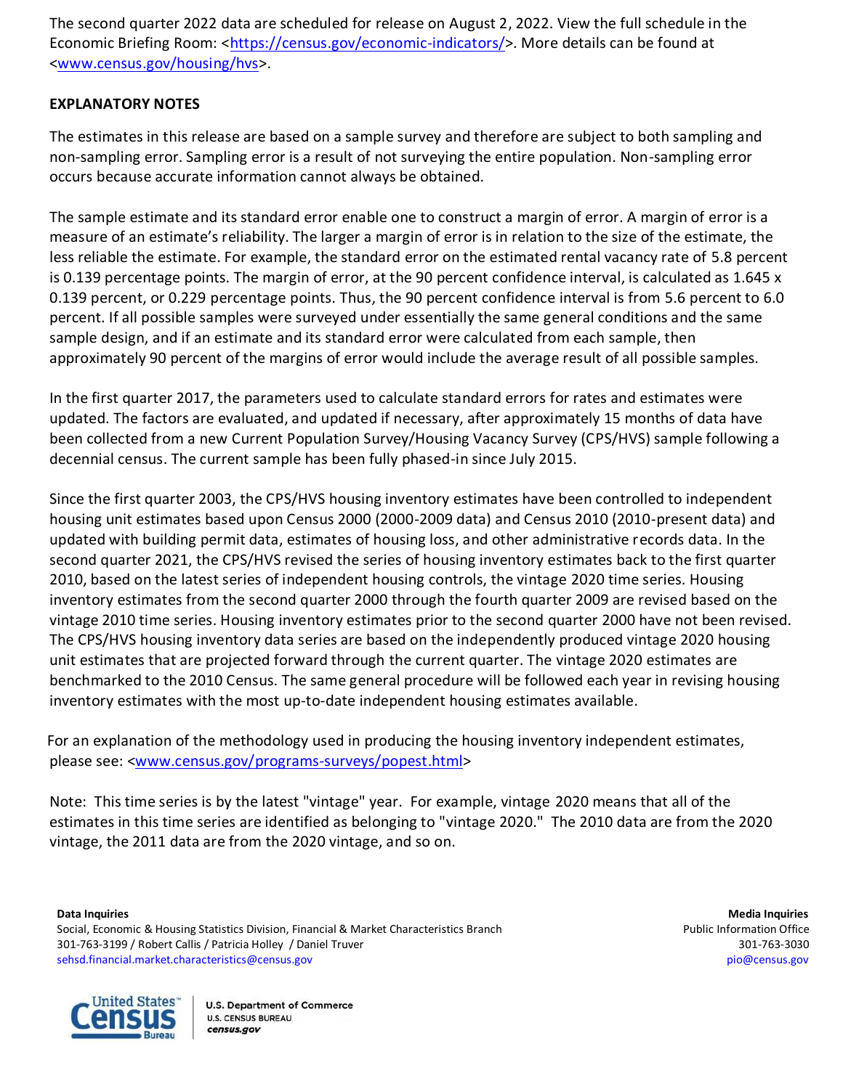The second quarter 2022 data are scheduled for release on August 2, 2022. View the full schedule in the Economic Briefing Room: [<https://census.gov/economic-indicators/>](https://census.gov/economic-indicators/). More details can be found at [<www.census.gov/housing/hvs>](https://www.census.gov/housing/hvs/index.html).

# **EXPLANATORY NOTES**

The estimates in this release are based on a sample survey and therefore are subject to both sampling and non-sampling error. Sampling error is a result of not surveying the entire population. Non-sampling error occurs because accurate information cannot always be obtained.

The sample estimate and its standard error enable one to construct a margin of error. A margin of error is a measure of an estimate's reliability. The larger a margin of error is in relation to the size of the estimate, the less reliable the estimate. For example, the standard error on the estimated rental vacancy rate of 5.8 percent is 0.139 percentage points. The margin of error, at the 90 percent confidence interval, is calculated as 1.645 x 0.139 percent, or 0.229 percentage points. Thus, the 90 percent confidence interval is from 5.6 percent to 6.0 percent. If all possible samples were surveyed under essentially the same general conditions and the same sample design, and if an estimate and its standard error were calculated from each sample, then approximately 90 percent of the margins of error would include the average result of all possible samples.

In the first quarter 2017, the parameters used to calculate standard errors for rates and estimates were updated. The factors are evaluated, and updated if necessary, after approximately 15 months of data have been collected from a new Current Population Survey/Housing Vacancy Survey (CPS/HVS) sample following a decennial census. The current sample has been fully phased-in since July 2015.

Since the first quarter 2003, the CPS/HVS housing inventory estimates have been controlled to independent housing unit estimates based upon Census 2000 (2000-2009 data) and Census 2010 (2010-present data) and updated with building permit data, estimates of housing loss, and other administrative records data. In the second quarter 2021, the CPS/HVS revised the series of housing inventory estimates back to the first quarter 2010, based on the latest series of independent housing controls, the vintage 2020 time series. Housing inventory estimates from the second quarter 2000 through the fourth quarter 2009 are revised based on the vintage 2010 time series. Housing inventory estimates prior to the second quarter 2000 have not been revised. The CPS/HVS housing inventory data series are based on the independently produced vintage 2020 housing unit estimates that are projected forward through the current quarter. The vintage 2020 estimates are benchmarked to the 2010 Census. The same general procedure will be followed each year in revising housing inventory estimates with the most up-to-date independent housing estimates available.

 For an explanation of the methodology used in producing the housing inventory independent estimates, please see: [<www.census.gov/programs-surveys/popest.](http://www.census.gov/programs-surveys/popest.html)html>

Note: This time series is by the latest "vintage" year. For example, vintage 2020 means that all of the estimates in this time series are identified as belonging to "vintage 2020." The 2010 data are from the 2020 vintage, the 2011 data are from the 2020 vintage, and so on.

**Data Inquiries Media Inquiries**



Social, Economic & Housing Statistics Division, Financial & Market Characteristics Branch Public Information Office 301-763-3199 / Robert Callis / Patricia Holley / Daniel Truver 301-763-3030 [sehsd.financial.market.characteristics@census.gov](mailto:sehsd.financial.market.characteristics@census.gov) [pio@census.gov](http://www.census.gov/manufacturing/m3)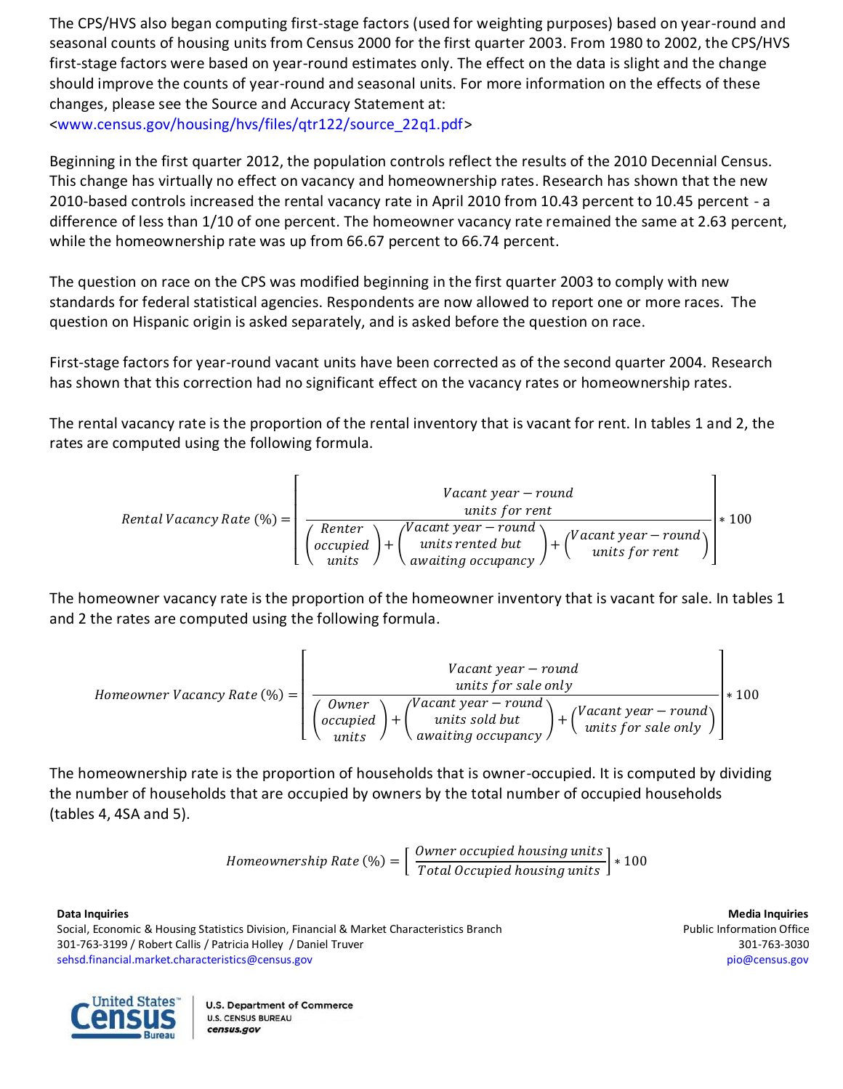The CPS/HVS also began computing first-stage factors (used for weighting purposes) based on year-round and seasonal counts of housing units from Census 2000 for the first quarter 2003. From 1980 to 2002, the CPS/HVS first-stage factors were based on year-round estimates only. The effect on the data is slight and the change should improve the counts of year-round and seasonal units. For more information on the effects of these changes, please see the Source and Accuracy Statement at: [<www.census.gov/housing/hvs/files/qtr122/source\\_22q1.pdf>](http://www.census.gov/housing/hvs/files/qtr122/source_22q1.pdf)

Beginning in the first quarter 2012, the population controls reflect the results of the 2010 Decennial Census. This change has virtually no effect on vacancy and homeownership rates. Research has shown that the new 2010-based controls increased the rental vacancy rate in April 2010 from 10.43 percent to 10.45 percent - a difference of less than 1/10 of one percent. The homeowner vacancy rate remained the same at 2.63 percent, while the homeownership rate was up from 66.67 percent to 66.74 percent.

The question on race on the CPS was modified beginning in the first quarter 2003 to comply with new standards for federal statistical agencies. Respondents are now allowed to report one or more races. The question on Hispanic origin is asked separately, and is asked before the question on race.

First-stage factors for year-round vacant units have been corrected as of the second quarter 2004. Research has shown that this correction had no significant effect on the vacancy rates or homeownership rates.

The rental vacancy rate is the proportion of the rental inventory that is vacant for rent. In tables 1 and 2, the rates are computed using the following formula.

$$
Rental\text{ Vacancy Rate } (\%) = \left(\begin{array}{c}\n\text{ Vacant year - round units for rent}\n \hline\n\text{ Internet power - round units for rent}\n \hline\n\text{ occupied } + \left(\begin{array}{c}\n\text{ Vacant year - round units for rent}\n \hline\n\text{ units rented but units for rent}\n\end{array}\right) + \left(\begin{array}{c}\n\text{ Vacant year - round units for rent}\n\end{array}\right)\n\end{array}\right) * 100
$$

The homeowner vacancy rate is the proportion of the homeowner inventory that is vacant for sale. In tables 1 and 2 the rates are computed using the following formula.

However, 
$$
Vacancy Rate (\%) = \left( \frac{Vacant year - round}{\left( \frac{Owner}{units} \right) + \left( \frac{Vacant year - round}{units sold but} \right) + \left( \frac{Vacant year - round}{units for sale only} \right)} \right) * 100
$$

\nWhen  $Vacant year - round$  is old but  $Vacant year - round$  is used to be used.

The homeownership rate is the proportion of households that is owner-occupied. It is computed by dividing the number of households that are occupied by owners by the total number of occupied households (tables 4, 4SA and 5).

$$
Home ownership Rate (\%) = \left[ \frac{Owner \ occupied \ housing \ units}{Total \ Occupied \ housing \ units} \right] * 100
$$

**Data Inquiries Media Inquiries** Social, Economic & Housing Statistics Division, Financial & Market Characteristics Branch Public Information Office 301-763-3199 / Robert Callis / Patricia Holley / Daniel Truver 301-763-3030 [sehsd.financial.market.characteristics@census.gov](mailto:sehsd.financial.market.characteristics@census.gov) [pio@census.gov](http://www.census.gov/manufacturing/m3)